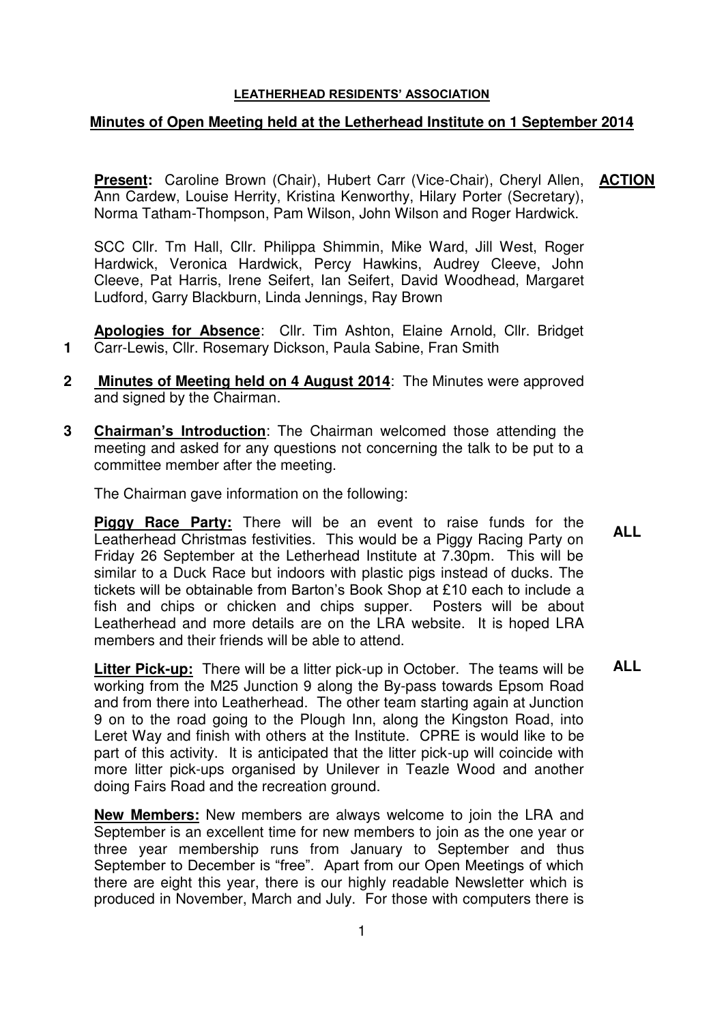## **LEATHERHEAD RESIDENTS' ASSOCIATION**

## **Minutes of Open Meeting held at the Letherhead Institute on 1 September 2014**

**Present:** Caroline Brown (Chair), Hubert Carr (Vice-Chair), Cheryl Allen, Ann Cardew, Louise Herrity, Kristina Kenworthy, Hilary Porter (Secretary), Norma Tatham-Thompson, Pam Wilson, John Wilson and Roger Hardwick. **ACTION** 

SCC Cllr. Tm Hall, Cllr. Philippa Shimmin, Mike Ward, Jill West, Roger Hardwick, Veronica Hardwick, Percy Hawkins, Audrey Cleeve, John Cleeve, Pat Harris, Irene Seifert, Ian Seifert, David Woodhead, Margaret Ludford, Garry Blackburn, Linda Jennings, Ray Brown

**Apologies for Absence**: Cllr. Tim Ashton, Elaine Arnold, Cllr. Bridget Carr-Lewis, Cllr. Rosemary Dickson, Paula Sabine, Fran Smith

- **2 Minutes of Meeting held on 4 August 2014**: The Minutes were approved and signed by the Chairman.
- **3 Chairman's Introduction**: The Chairman welcomed those attending the meeting and asked for any questions not concerning the talk to be put to a committee member after the meeting.

The Chairman gave information on the following:

 **1** 

**Piggy Race Party:** There will be an event to raise funds for the Leatherhead Christmas festivities. This would be a Piggy Racing Party on Friday 26 September at the Letherhead Institute at 7.30pm. This will be similar to a Duck Race but indoors with plastic pigs instead of ducks. The tickets will be obtainable from Barton's Book Shop at £10 each to include a fish and chips or chicken and chips supper. Posters will be about Leatherhead and more details are on the LRA website. It is hoped LRA members and their friends will be able to attend. **ALL** 

**Litter Pick-up:** There will be a litter pick-up in October. The teams will be working from the M25 Junction 9 along the By-pass towards Epsom Road and from there into Leatherhead. The other team starting again at Junction 9 on to the road going to the Plough Inn, along the Kingston Road, into Leret Way and finish with others at the Institute. CPRE is would like to be part of this activity. It is anticipated that the litter pick-up will coincide with more litter pick-ups organised by Unilever in Teazle Wood and another doing Fairs Road and the recreation ground. **ALL** 

**New Members:** New members are always welcome to join the LRA and September is an excellent time for new members to join as the one year or three year membership runs from January to September and thus September to December is "free". Apart from our Open Meetings of which there are eight this year, there is our highly readable Newsletter which is produced in November, March and July. For those with computers there is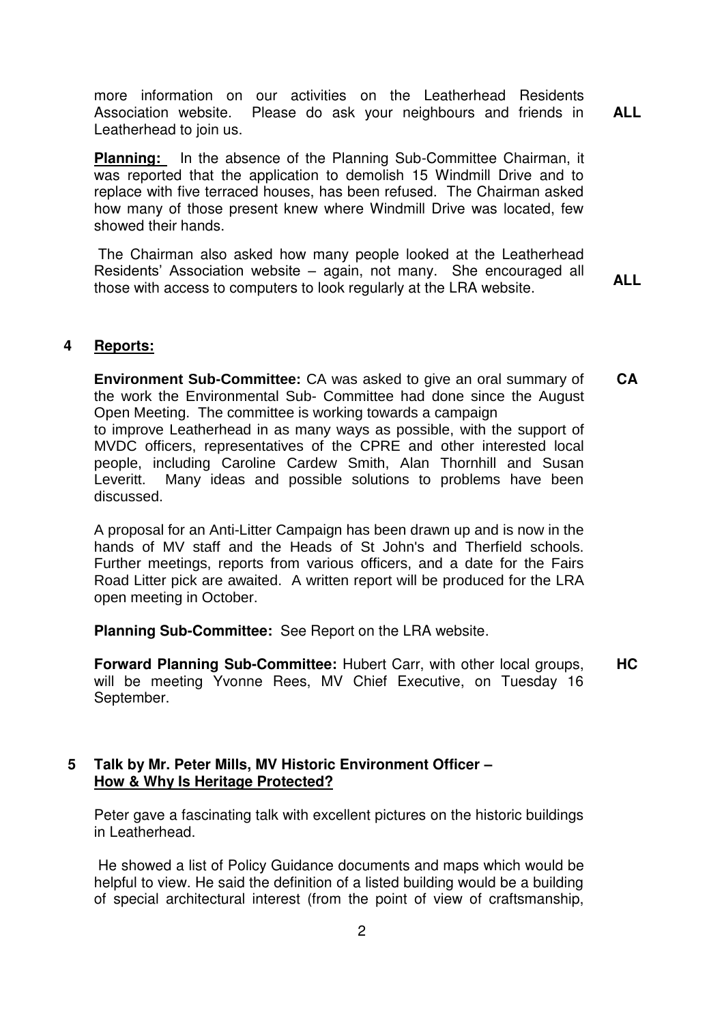more information on our activities on the Leatherhead Residents Association website. Please do ask your neighbours and friends in Leatherhead to join us. **ALL** 

**Planning:** In the absence of the Planning Sub-Committee Chairman, it was reported that the application to demolish 15 Windmill Drive and to replace with five terraced houses, has been refused. The Chairman asked how many of those present knew where Windmill Drive was located, few showed their hands.

 The Chairman also asked how many people looked at the Leatherhead Residents' Association website – again, not many. She encouraged all those with access to computers to look regularly at the LRA website.

**ALL** 

## **4 Reports:**

**Environment Sub-Committee:** CA was asked to give an oral summary of the work the Environmental Sub- Committee had done since the August Open Meeting. The committee is working towards a campaign to improve Leatherhead in as many ways as possible, with the support of MVDC officers, representatives of the CPRE and other interested local people, including Caroline Cardew Smith, Alan Thornhill and Susan Leveritt. Many ideas and possible solutions to problems have been discussed. **CA**

A proposal for an Anti-Litter Campaign has been drawn up and is now in the hands of MV staff and the Heads of St John's and Therfield schools. Further meetings, reports from various officers, and a date for the Fairs Road Litter pick are awaited. A written report will be produced for the LRA open meeting in October.

**Planning Sub-Committee:** See Report on the LRA website.

**Forward Planning Sub-Committee:** Hubert Carr, with other local groups, will be meeting Yvonne Rees, MV Chief Executive, on Tuesday 16 September. **HC**

## **5 Talk by Mr. Peter Mills, MV Historic Environment Officer – How & Why Is Heritage Protected?**

Peter gave a fascinating talk with excellent pictures on the historic buildings in Leatherhead.

 He showed a list of Policy Guidance documents and maps which would be helpful to view. He said the definition of a listed building would be a building of special architectural interest (from the point of view of craftsmanship,